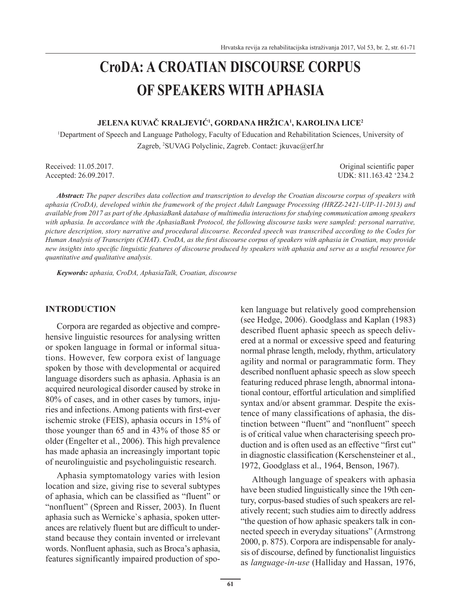# **CroDA: A CROATIAN DISCOURSE CORPUS OF SPEAKERS WITH APHASIA**

# **JELENA KUVAČ KRALJEVIĆ<sup>1</sup> , GORDANA HRŽICA<sup>1</sup> , KAROLINA LICE<sup>2</sup>**

1 Department of Speech and Language Pathology, Faculty of Education and Rehabilitation Sciences, University of Zagreb, <sup>2</sup> SUVAG Polyclinic, Zagreb. Contact: jkuvac@erf.hr

Accepted: 26.09.2017.

Received: 11.05.2017. Original scientific paper<br>Accented: 26.09.2017. UDK: 811.163.42.234.2

*Abstract: The paper describes data collection and transcription to develop the Croatian discourse corpus of speakers with aphasia (CroDA), developed within the framework of the project Adult Language Processing (HRZZ-2421-UIP-11-2013) and available from 2017 as part of the AphasiaBank database of multimedia interactions for studying communication among speakers with aphasia. In accordance with the AphasiaBank Protocol, the following discourse tasks were sampled: personal narrative, picture description, story narrative and procedural discourse. Recorded speech was transcribed according to the Codes for Human Analysis of Transcripts (CHAT). CroDA, as the first discourse corpus of speakers with aphasia in Croatian, may provide new insights into specific linguistic features of discourse produced by speakers with aphasia and serve as a useful resource for quantitative and qualitative analysis.*

*Keywords: aphasia, CroDA, AphasiaTalk, Croatian, discourse*

#### **INTRODUCTION**

Corpora are regarded as objective and comprehensive linguistic resources for analysing written or spoken language in formal or informal situations. However, few corpora exist of language spoken by those with developmental or acquired language disorders such as aphasia. Aphasia is an acquired neurological disorder caused by stroke in 80% of cases, and in other cases by tumors, injuries and infections. Among patients with first-ever ischemic stroke (FEIS), aphasia occurs in 15% of those younger than 65 and in 43% of those 85 or older (Engelter et al., 2006). This high prevalence has made aphasia an increasingly important topic of neurolinguistic and psycholinguistic research.

Aphasia symptomatology varies with lesion location and size, giving rise to several subtypes of aphasia, which can be classified as "fluent" or "nonfluent" (Spreen and Risser, 2003). In fluent aphasia such as Wernicke`s aphasia, spoken utterances are relatively fluent but are difficult to understand because they contain invented or irrelevant words. Nonfluent aphasia, such as Broca's aphasia, features significantly impaired production of spoken language but relatively good comprehension (see Hedge, 2006). Goodglass and Kaplan (1983) described fluent aphasic speech as speech delivered at a normal or excessive speed and featuring normal phrase length, melody, rhythm, articulatory agility and normal or paragrammatic form. They described nonfluent aphasic speech as slow speech featuring reduced phrase length, abnormal intonational contour, effortful articulation and simplified syntax and/or absent grammar. Despite the existence of many classifications of aphasia, the distinction between "fluent" and "nonfluent" speech is of critical value when characterising speech production and is often used as an effective "first cut" in diagnostic classification (Kerschensteiner et al., 1972, Goodglass et al., 1964, Benson, 1967).

Although language of speakers with aphasia have been studied linguistically since the 19th century, corpus-based studies of such speakers are relatively recent; such studies aim to directly address "the question of how aphasic speakers talk in connected speech in everyday situations" (Armstrong 2000, p. 875). Corpora are indispensable for analysis of discourse, defined by functionalist linguistics as *language-in-use* (Halliday and Hassan, 1976,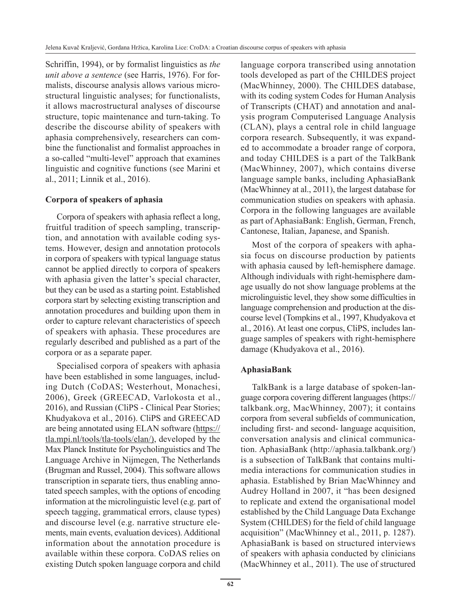Schriffin, 1994), or by formalist linguistics as *the unit above a sentence* (see Harris, 1976). For formalists, discourse analysis allows various microstructural linguistic analyses; for functionalists, it allows macrostructural analyses of discourse structure, topic maintenance and turn-taking. To describe the discourse ability of speakers with aphasia comprehensively, researchers can combine the functionalist and formalist approaches in a so-called "multi-level" approach that examines linguistic and cognitive functions (see Marini et al., 2011; Linnik et al., 2016).

# **Corpora of speakers of aphasia**

Corpora of speakers with aphasia reflect a long, fruitful tradition of speech sampling, transcription, and annotation with available coding systems. However, design and annotation protocols in corpora of speakers with typical language status cannot be applied directly to corpora of speakers with aphasia given the latter's special character, but they can be used as a starting point. Established corpora start by selecting existing transcription and annotation procedures and building upon them in order to capture relevant characteristics of speech of speakers with aphasia. These procedures are regularly described and published as a part of the corpora or as a separate paper.

Specialised corpora of speakers with aphasia have been established in some languages, including Dutch (CoDAS; Westerhout, Monachesi, 2006), Greek (GREECAD, Varlokosta et al., 2016), and Russian (CliPS - Clinical Pear Stories; Khudyakova et al., 2016). CliPS and GREECAD are being annotated using ELAN software (https:// tla.mpi.nl/tools/tla-tools/elan/), developed by the Max Planck Institute for Psycholinguistics and The Language Archive in Nijmegen, The Netherlands (Brugman and Russel, 2004). This software allows transcription in separate tiers, thus enabling annotated speech samples, with the options of encoding information at the microlinguistic level (e.g. part of speech tagging, grammatical errors, clause types) and discourse level (e.g. narrative structure elements, main events, evaluation devices). Additional information about the annotation procedure is available within these corpora. CoDAS relies on existing Dutch spoken language corpora and child language corpora transcribed using annotation tools developed as part of the CHILDES project (MacWhinney, 2000). The CHILDES database, with its coding system Codes for Human Analysis of Transcripts (CHAT) and annotation and analysis program Computerised Language Analysis (CLAN), plays a central role in child language corpora research. Subsequently, it was expanded to accommodate a broader range of corpora, and today CHILDES is a part of the TalkBank (MacWhinney, 2007), which contains diverse language sample banks, including AphasiaBank (MacWhinney at al., 2011), the largest database for communication studies on speakers with aphasia. Corpora in the following languages are available as part of AphasiaBank: English, German, French, Cantonese, Italian, Japanese, and Spanish.

Most of the corpora of speakers with aphasia focus on discourse production by patients with aphasia caused by left-hemisphere damage. Although individuals with right-hemisphere damage usually do not show language problems at the microlinguistic level, they show some difficulties in language comprehension and production at the discourse level (Tompkins et al., 1997, Khudyakova et al., 2016). At least one corpus, CliPS, includes language samples of speakers with right-hemisphere damage (Khudyakova et al., 2016).

# **AphasiaBank**

TalkBank is a large database of spoken-language corpora covering different languages (https:// talkbank.org, MacWhinney, 2007); it contains corpora from several subfields of communication, including first- and second- language acquisition, conversation analysis and clinical communication. AphasiaBank (http://aphasia.talkbank.org/) is a subsection of TalkBank that contains multimedia interactions for communication studies in aphasia. Established by Brian MacWhinney and Audrey Holland in 2007, it "has been designed to replicate and extend the organisational model established by the Child Language Data Exchange System (CHILDES) for the field of child language acquisition" (MacWhinney et al., 2011, p. 1287). AphasiaBank is based on structured interviews of speakers with aphasia conducted by clinicians (MacWhinney et al., 2011). The use of structured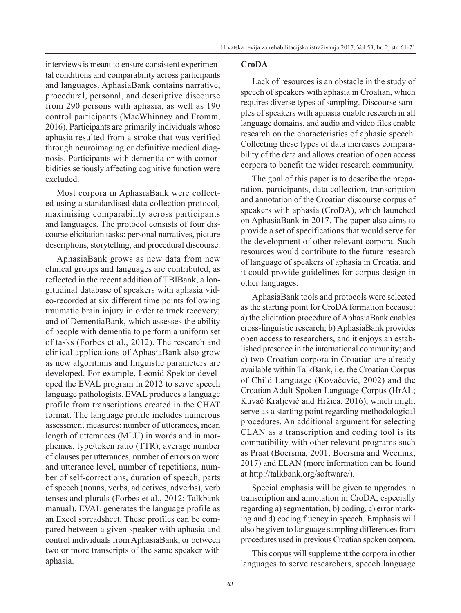interviews is meant to ensure consistent experimental conditions and comparability across participants and languages. AphasiaBank contains narrative, procedural, personal, and descriptive discourse from 290 persons with aphasia, as well as 190 control participants (MacWhinney and Fromm, 2016). Participants are primarily individuals whose aphasia resulted from a stroke that was verified through neuroimaging or definitive medical diagnosis. Participants with dementia or with comorbidities seriously affecting cognitive function were excluded.

Most corpora in AphasiaBank were collected using a standardised data collection protocol, maximising comparability across participants and languages. The protocol consists of four discourse elicitation tasks: personal narratives, picture descriptions, storytelling, and procedural discourse.

AphasiaBank grows as new data from new clinical groups and languages are contributed, as reflected in the recent addition of TBIBank, a longitudinal database of speakers with aphasia video-recorded at six different time points following traumatic brain injury in order to track recovery; and of DementiaBank, which assesses the ability of people with dementia to perform a uniform set of tasks (Forbes et al., 2012). The research and clinical applications of AphasiaBank also grow as new algorithms and linguistic parameters are developed. For example, Leonid Spektor developed the EVAL program in 2012 to serve speech language pathologists. EVAL produces a language profile from transcriptions created in the CHAT format. The language profile includes numerous assessment measures: number of utterances, mean length of utterances (MLU) in words and in morphemes, type/token ratio (TTR), average number of clauses per utterances, number of errors on word and utterance level, number of repetitions, number of self-corrections, duration of speech, parts of speech (nouns, verbs, adjectives, adverbs), verb tenses and plurals (Forbes et al., 2012; Talkbank manual). EVAL generates the language profile as an Excel spreadsheet. These profiles can be compared between a given speaker with aphasia and control individuals from AphasiaBank, or between two or more transcripts of the same speaker with aphasia.

#### **CroDA**

Lack of resources is an obstacle in the study of speech of speakers with aphasia in Croatian, which requires diverse types of sampling. Discourse samples of speakers with aphasia enable research in all language domains, and audio and video files enable research on the characteristics of aphasic speech. Collecting these types of data increases comparability of the data and allows creation of open access corpora to benefit the wider research community.

The goal of this paper is to describe the preparation, participants, data collection, transcription and annotation of the Croatian discourse corpus of speakers with aphasia (CroDA), which launched on AphasiaBank in 2017. The paper also aims to provide a set of specifications that would serve for the development of other relevant corpora. Such resources would contribute to the future research of language of speakers of aphasia in Croatia, and it could provide guidelines for corpus design in other languages.

AphasiaBank tools and protocols were selected as the starting point for CroDA formation because: a) the elicitation procedure of AphasiaBank enables cross-linguistic research; b) AphasiaBank provides open access to researchers, and it enjoys an established presence in the international community; and c) two Croatian corpora in Croatian are already available within TalkBank, i.e. the Croatian Corpus of Child Language (Kovačević, 2002) and the Croatian Adult Spoken Language Corpus (HrAL; Kuvač Kraljević and Hržica, 2016), which might serve as a starting point regarding methodological procedures. An additional argument for selecting CLAN as a transcription and coding tool is its compatibility with other relevant programs such as Praat (Boersma, 2001; Boersma and Weenink, 2017) and ELAN (more information can be found at http://talkbank.org/software/).

Special emphasis will be given to upgrades in transcription and annotation in CroDA, especially regarding a) segmentation, b) coding, c) error marking and d) coding fluency in speech. Emphasis will also be given to language sampling differences from procedures used in previous Croatian spoken corpora.

This corpus will supplement the corpora in other languages to serve researchers, speech language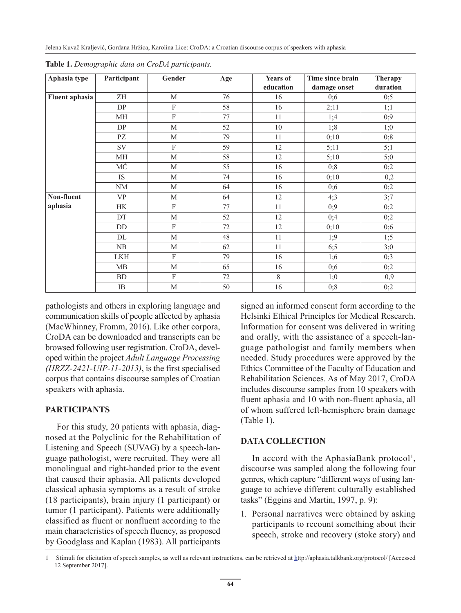| Aphasia type          | Participant | Gender                    | Age | Years of  | Time since brain | <b>Therapy</b> |
|-----------------------|-------------|---------------------------|-----|-----------|------------------|----------------|
|                       |             |                           |     | education | damage onset     | duration       |
| <b>Fluent aphasia</b> | ZH          | M                         | 76  | 16        | 0:6              | 0;5            |
|                       | DP          | F                         | 58  | 16        | 2;11             | 1;1            |
|                       | MН          | $\rm F$                   | 77  | 11        | 1;4              | 0;9            |
|                       | DP          | M                         | 52  | 10        | 1;8              | 1;0            |
|                       | PZ          | M                         | 79  | 11        | 0;10             | 0;8            |
|                       | SV          | $\mathbf{F}$              | 59  | 12        | 5;11             | 5;1            |
|                       | МH          | M                         | 58  | 12        | 5;10             | 5;0            |
|                       | МĆ          | $\mathbf M$               | 55  | 16        | 0;8              | 0;2            |
|                       | IS.         | $\mathbf M$               | 74  | 16        | 0;10             | 0,2            |
|                       | NM          | М                         | 64  | 16        | 0;6              | 0;2            |
| Non-fluent            | VP          | M                         | 64  | 12        | 4;3              | 3:7            |
| aphasia               | НK          | ${\bf F}$                 | 77  | 11        | 0;9              | 0;2            |
|                       | DT          | $\mathbf M$               | 52  | 12        | 0;4              | 0;2            |
|                       | DD          | $\mathbf{F}$              | 72  | 12        | 0;10             | 0;6            |
|                       | DL          | $\mathbf M$               | 48  | 11        | 1;9              | 1;5            |
|                       | NB          | M                         | 62  | 11        | 6;5              | 3;0            |
|                       | <b>LKH</b>  | $\boldsymbol{\mathrm{F}}$ | 79  | 16        | 1;6              | 0;3            |
|                       | MB          | $\mathbf M$               | 65  | 16        | 0;6              | 0;2            |
|                       | <b>BD</b>   | $\mathbf F$               | 72  | 8         | 1;0              | 0,9            |
|                       | IB          | $\mathbf M$               | 50  | 16        | 0;8              | 0;2            |

**Table 1.** *Demographic data on CroDA participants.*

pathologists and others in exploring language and communication skills of people affected by aphasia (MacWhinney, Fromm, 2016). Like other corpora, CroDA can be downloaded and transcripts can be browsed following user registration. CroDA, developed within the project *Adult Language Processing (HRZZ-2421-UIP-11-2013)*, is the first specialised corpus that contains discourse samples of Croatian speakers with aphasia.

# **PARTICIPANTS**

For this study, 20 patients with aphasia, diagnosed at the Polyclinic for the Rehabilitation of Listening and Speech (SUVAG) by a speech-language pathologist, were recruited. They were all monolingual and right-handed prior to the event that caused their aphasia. All patients developed classical aphasia symptoms as a result of stroke (18 participants), brain injury (1 participant) or tumor (1 participant). Patients were additionally classified as fluent or nonfluent according to the main characteristics of speech fluency, as proposed by Goodglass and Kaplan (1983). All participants signed an informed consent form according to the Helsinki Ethical Principles for Medical Research. Information for consent was delivered in writing and orally, with the assistance of a speech-language pathologist and family members when needed. Study procedures were approved by the Ethics Committee of the Faculty of Education and Rehabilitation Sciences. As of May 2017, CroDA includes discourse samples from 10 speakers with fluent aphasia and 10 with non-fluent aphasia, all of whom suffered left-hemisphere brain damage (Table 1).

#### **DATA COLLECTION**

In accord with the AphasiaBank protocol<sup>1</sup>, discourse was sampled along the following four genres, which capture "different ways of using language to achieve different culturally established tasks" (Eggins and Martin, 1997, p. 9):

1. Personal narratives were obtained by asking participants to recount something about their speech, stroke and recovery (stoke story) and

<sup>1</sup> Stimuli for elicitation of speech samples, as well as relevant instructions, can be retrieved at http://aphasia.talkbank.org/protocol/ [Accessed 12 September 2017].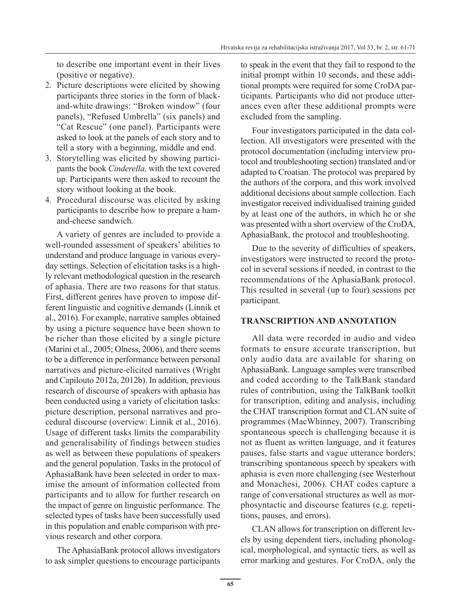to describe one important event in their lives (positive or negative).

- 2. Picture descriptions were elicited by showing participants three stories in the form of blackand-white drawings: "Broken window" (four panels), "Refused Umbrella" (six panels) and "Cat Rescue" (one panel). Participants were asked to look at the panels of each story and to tell a story with a beginning, middle and end.
- 3. Storytelling was elicited by showing participants the book *Cinderella,* with the text covered up. Participants were then asked to recount the story without looking at the book.
- 4. Procedural discourse was elicited by asking participants to describe how to prepare a hamand-cheese sandwich.

A variety of genres are included to provide a well-rounded assessment of speakers' abilities to understand and produce language in various everyday settings. Selection of elicitation tasks is a highly relevant methodological question in the research of aphasia. There are two reasons for that status. First, different genres have proven to impose different linguistic and cognitive demands (Linnik et al., 2016). For example, narrative samples obtained by using a picture sequence have been shown to be richer than those elicited by a single picture (Marini et al., 2005; Olness, 2006), and there seems to be a difference in performance between personal narratives and picture-elicited narratives (Wright and Capilouto 2012a, 2012b). In addition, previous research of discourse of speakers with aphasia has been conducted using a variety of elicitation tasks: picture description, personal narratives and procedural discourse (overview: Linnik et al., 2016). Usage of different tasks limits the comparability and generalisability of findings between studies as well as between these populations of speakers and the general population. Tasks in the protocol of AphasiaBank have been selected in order to maximise the amount of information collected from participants and to allow for further research on the impact of genre on linguistic performance. The selected types of tasks have been successfully used in this population and enable comparison with previous research and other corpora.

The AphasiaBank protocol allows investigators to ask simpler questions to encourage participants to speak in the event that they fail to respond to the initial prompt within 10 seconds, and these additional prompts were required for some CroDA participants. Participants who did not produce utterances even after these additional prompts were excluded from the sampling.

Four investigators participated in the data collection. All investigators were presented with the protocol documentation (including interview protocol and troubleshooting section) translated and/or adapted to Croatian. The protocol was prepared by the authors of the corpora, and this work involved additional decisions about sample collection. Each investigator received individualised training guided by at least one of the authors, in which he or she was presented with a short overview of the CroDA, AphasiaBank, the protocol and troubleshooting.

Due to the severity of difficulties of speakers, investigators were instructed to record the protocol in several sessions if needed, in contrast to the recommendations of the AphasiaBank protocol. This resulted in several (up to four) sessions per participant.

#### **TRANSCRIPTION AND ANNOTATION**

All data were recorded in audio and video formats to ensure accurate transcription, but only audio data are available for sharing on AphasiaBank. Language samples were transcribed and coded according to the TalkBank standard rules of contribution, using the TalkBank toolkit for transcription, editing and analysis, including the CHAT transcription format and CLAN suite of programmes (MacWhinney, 2007). Transcribing spontaneous speech is challenging because it is not as fluent as written language, and it features pauses, false starts and vague utterance borders; transcribing spontaneous speech by speakers with aphasia is even more challenging (see Westerhout and Monachesi, 2006). CHAT codes capture a range of conversational structures as well as morphosyntactic and discourse features (e.g. repetitions, pauses, and errors).

CLAN allows for transcription on different levels by using dependent tiers, including phonological, morphological, and syntactic tiers, as well as error marking and gestures. For CroDA, only the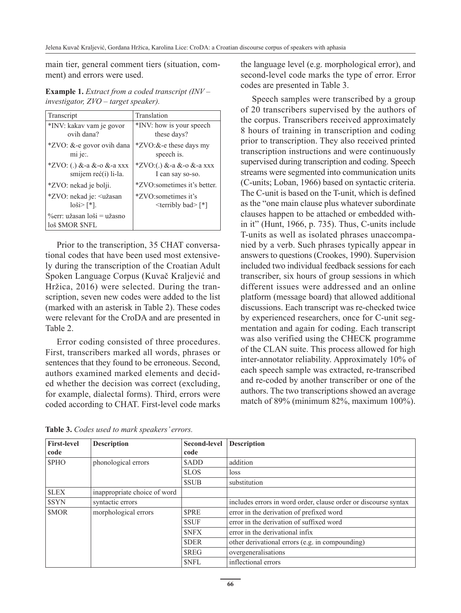main tier, general comment tiers (situation, comment) and errors were used.

| <b>Example 1.</b> Extract from a coded transcript $(INV -$ |
|------------------------------------------------------------|
| investigator, $ZVO$ – target speaker).                     |

| Transcript                                             | Translation                  |  |  |
|--------------------------------------------------------|------------------------------|--|--|
| *INV: kakav vam je govor                               | *INV: how is your speech     |  |  |
| ovih dana?                                             | these days?                  |  |  |
| *ZVO: &-e govor ovih dana                              | *ZVO:&-e these days my       |  |  |
| mi je:.                                                | speech is.                   |  |  |
| *ZVO: (.) &-a &-o &-a xxx                              | *ZVO:(.) &-a &-o &-a xxx     |  |  |
| smijem reć(i) li-la.                                   | I can say so-so.             |  |  |
| *ZVO: nekad je bolji.                                  | *ZVO:sometimes it's better.  |  |  |
| *ZVO: nekad je: < užasan                               | *ZVO:sometimes it's          |  |  |
| $ 00\rangle ^{*} $ .                                   | $\le$ terribly bad $\ge$ [*] |  |  |
| $\%$ err: užasan loši = užasno<br>loš <i>SMOR SNFL</i> |                              |  |  |

Prior to the transcription, 35 CHAT conversational codes that have been used most extensively during the transcription of the Croatian Adult Spoken Language Corpus (Kuvač Kraljević and Hržica, 2016) were selected. During the transcription, seven new codes were added to the list (marked with an asterisk in Table 2). These codes were relevant for the CroDA and are presented in Table 2.

Error coding consisted of three procedures. First, transcribers marked all words, phrases or sentences that they found to be erroneous. Second, authors examined marked elements and decided whether the decision was correct (excluding, for example, dialectal forms). Third, errors were coded according to CHAT. First-level code marks the language level (e.g. morphological error), and second-level code marks the type of error. Error codes are presented in Table 3.

Speech samples were transcribed by a group of 20 transcribers supervised by the authors of the corpus. Transcribers received approximately 8 hours of training in transcription and coding prior to transcription. They also received printed transcription instructions and were continuously supervised during transcription and coding. Speech streams were segmented into communication units (C-units; Loban, 1966) based on syntactic criteria. The C-unit is based on the T-unit, which is defined as the "one main clause plus whatever subordinate clauses happen to be attached or embedded within it" (Hunt, 1966, p. 735). Thus, C-units include T-units as well as isolated phrases unaccompanied by a verb. Such phrases typically appear in answers to questions (Crookes, 1990). Supervision included two individual feedback sessions for each transcriber, six hours of group sessions in which different issues were addressed and an online platform (message board) that allowed additional discussions. Each transcript was re-checked twice by experienced researchers, once for C-unit segmentation and again for coding. Each transcript was also verified using the CHECK programme of the CLAN suite. This process allowed for high inter-annotator reliability. Approximately 10% of each speech sample was extracted, re-transcribed and re-coded by another transcriber or one of the authors. The two transcriptions showed an average match of 89% (minimum 82%, maximum 100%).

| Table 3. Codes used to mark speakers' errors. |  |  |
|-----------------------------------------------|--|--|
|-----------------------------------------------|--|--|

| <b>First-level</b>                  | <b>Description</b>           | <b>Second-level</b> | <b>Description</b>                                              |
|-------------------------------------|------------------------------|---------------------|-----------------------------------------------------------------|
| code                                |                              | code                |                                                                 |
| <b>SPHO</b>                         | phonological errors          |                     | addition                                                        |
|                                     |                              | <b>SLOS</b>         | loss                                                            |
|                                     |                              | <b>SSUB</b>         | substitution                                                    |
| <b>SLEX</b>                         | inappropriate choice of word |                     |                                                                 |
| \$SYN                               | syntactic errors             |                     | includes errors in word order, clause order or discourse syntax |
| morphological errors<br><b>SMOR</b> |                              | <b>SPRE</b>         | error in the derivation of prefixed word                        |
|                                     |                              | <b>SSUF</b>         | error in the derivation of suffixed word                        |
|                                     |                              | <b>SNFX</b>         | error in the derivational infix                                 |
|                                     |                              | <b>SDER</b>         | other derivational errors (e.g. in compounding)                 |
|                                     |                              | <b>SREG</b>         | overgeneralisations                                             |
|                                     |                              | <b>SNFL</b>         | inflectional errors                                             |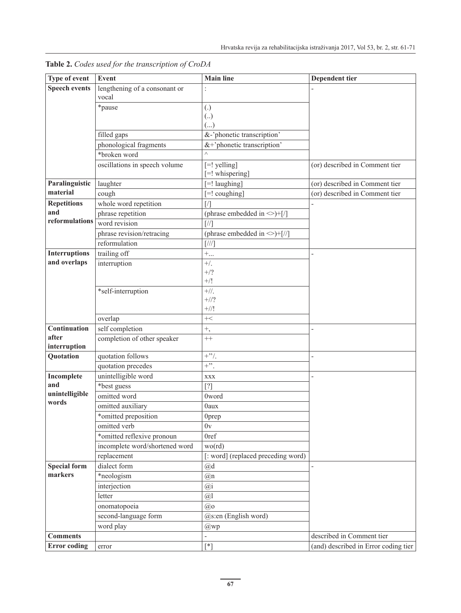| Type of event         | Event                          | <b>Main line</b>                       | Dependent tier                       |  |  |
|-----------------------|--------------------------------|----------------------------------------|--------------------------------------|--|--|
| <b>Speech events</b>  | lengthening of a consonant or  |                                        |                                      |  |  |
|                       | vocal                          |                                        |                                      |  |  |
|                       | *pause                         | $\left( .\right)$                      |                                      |  |  |
|                       |                                | $\left( \right)$                       |                                      |  |  |
|                       |                                | ()                                     |                                      |  |  |
|                       | filled gaps                    | &-'phonetic transcription'             |                                      |  |  |
|                       | phonological fragments         | &+'phonetic transcription'<br>$\wedge$ |                                      |  |  |
|                       | *broken word                   |                                        |                                      |  |  |
|                       | oscillations in speech volume  | $[=!$ yelling]<br>[=! whispering]      | (or) described in Comment tier       |  |  |
| Paralinguistic        | laughter                       | [=! laughing]                          | (or) described in Comment tier       |  |  |
| material              | cough                          | [=! coughing]                          | (or) described in Comment tier       |  |  |
| <b>Repetitions</b>    | whole word repetition          | $\left[ \frac{\ }{\ }$                 |                                      |  |  |
| and                   | phrase repetition              | (phrase embedded in $\leq$ )+[/]       |                                      |  |  |
| reformulations        | word revision                  | $\lceil 7/2 \rceil$                    |                                      |  |  |
|                       | phrase revision/retracing      | (phrase embedded in $\leq$ )+[//]      |                                      |  |  |
|                       | reformulation                  | $\left[\frac{1}{2}\right]$             |                                      |  |  |
| <b>Interruptions</b>  | trailing off                   | $+$                                    | $\overline{\phantom{0}}$             |  |  |
| and overlaps          | interruption                   | $+$ /.                                 |                                      |  |  |
|                       |                                | $+/?$                                  |                                      |  |  |
|                       |                                | $^{+/!}$                               |                                      |  |  |
|                       | *self-interruption             | $+$ //.                                |                                      |  |  |
|                       |                                | $+//?$                                 |                                      |  |  |
|                       |                                | $+$ //!                                |                                      |  |  |
|                       | overlap                        | $+\lt$                                 |                                      |  |  |
| Continuation<br>after | self completion                | $^{+},$                                |                                      |  |  |
| interruption          | completion of other speaker    | $^{++}$                                |                                      |  |  |
| Quotation             | quotation follows              | $+$ "/.                                | L,                                   |  |  |
|                       | quotation precedes             | $+$ ".                                 |                                      |  |  |
| Incomplete            | unintelligible word            | <b>XXX</b>                             |                                      |  |  |
| and                   | *best guess                    | $[?]$                                  |                                      |  |  |
| unintelligible        | omitted word                   | 0word                                  |                                      |  |  |
| words                 | omitted auxiliary              | 0aux                                   |                                      |  |  |
|                       | *omitted preposition           | 0 <sub>prep</sub>                      |                                      |  |  |
|                       | omitted verb                   | 0v                                     |                                      |  |  |
|                       | *omitted reflexive pronoun     | 0ref                                   |                                      |  |  |
|                       | incomplete word/shortened word | wo(rd)                                 |                                      |  |  |
|                       | replacement                    | [: word] (replaced preceding word)     |                                      |  |  |
| <b>Special form</b>   | dialect form                   | @d                                     |                                      |  |  |
| markers               | *neologism                     | @n                                     |                                      |  |  |
|                       | interjection                   | $(\overline{a})$ i                     |                                      |  |  |
|                       | letter                         | @1                                     |                                      |  |  |
|                       | onomatopoeia                   | @o                                     |                                      |  |  |
|                       | second-language form           | @s:en (English word)                   |                                      |  |  |
|                       | word play                      | $@$ wp                                 |                                      |  |  |
| <b>Comments</b>       |                                |                                        | described in Comment tier            |  |  |
| <b>Error</b> coding   | error                          | $[^*]$                                 | (and) described in Error coding tier |  |  |

**Table 2.** *Codes used for the transcription of CroDA*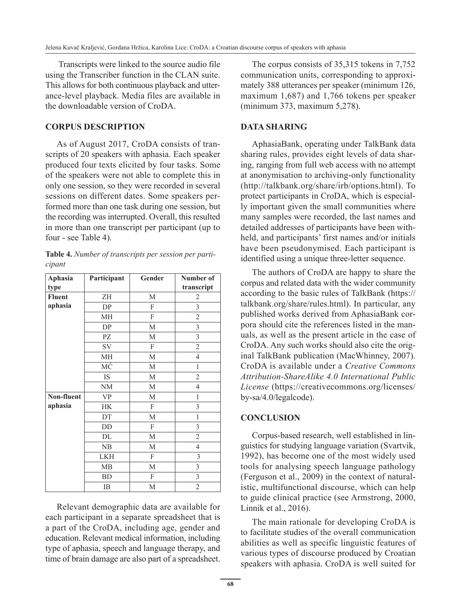Transcripts were linked to the source audio file using the Transcriber function in the CLAN suite. This allows for both continuous playback and utterance-level playback. Media files are available in the downloadable version of CroDA.

#### **CORPUS DESCRIPTION**

As of August 2017, CroDA consists of transcripts of 20 speakers with aphasia. Each speaker produced four texts elicited by four tasks. Some of the speakers were not able to complete this in only one session, so they were recorded in several sessions on different dates. Some speakers performed more than one task during one session, but the recording was interrupted. Overall, this resulted in more than one transcript per participant (up to four - see Table 4).

| Table 4. Number of transcripts per session per parti- |  |  |  |
|-------------------------------------------------------|--|--|--|
| cipant                                                |  |  |  |

| <b>Aphasia</b> | Participant | Gender | Number of      |
|----------------|-------------|--------|----------------|
| type           |             |        | transcript     |
| <b>Fluent</b>  | ΖH          | M      | $\overline{2}$ |
| aphasia        | DP          | F      | 3              |
|                | MH          | F      | $\overline{2}$ |
|                | DP          | М      | 3              |
|                | PZ          | M      | 3              |
|                | <b>SV</b>   | F      | $\overline{c}$ |
|                | MH          | М      | $\overline{4}$ |
|                | MĆ          | М      | $\mathbf{1}$   |
|                | IS          | М      | $\overline{2}$ |
|                | NM          | М      | $\overline{4}$ |
| Non-fluent     | <b>VP</b>   | М      | 1              |
| aphasia        | <b>HK</b>   | F      | 3              |
|                | DT          | М      | $\mathbf{1}$   |
|                | DD          | F      | 3              |
|                | DL          | M      | $\overline{2}$ |
|                | NB          | М      | $\overline{4}$ |
|                | <b>LKH</b>  | F      | 3              |
|                | MB          | M      | 3              |
|                | <b>BD</b>   | F      | 3              |
|                | IB          | M      | $\overline{c}$ |

Relevant demographic data are available for each participant in a separate spreadsheet that is a part of the CroDA, including age, gender and education. Relevant medical information, including type of aphasia, speech and language therapy, and time of brain damage are also part of a spreadsheet.

The corpus consists of 35,315 tokens in 7,752 communication units, corresponding to approximately 388 utterances per speaker (minimum 126, maximum 1,687) and 1,766 tokens per speaker (minimum 373, maximum 5,278).

# **DATA SHARING**

AphasiaBank, operating under TalkBank data sharing rules, provides eight levels of data sharing, ranging from full web access with no attempt at anonymisation to archiving-only functionality (http://talkbank.org/share/irb/options.html). To protect participants in CroDA, which is especially important given the small communities where many samples were recorded, the last names and detailed addresses of participants have been withheld, and participants' first names and/or initials have been pseudonymised. Each participant is identified using a unique three-letter sequence.

The authors of CroDA are happy to share the corpus and related data with the wider community according to the basic rules of TalkBank (https:// talkbank.org/share/rules.html). In particular, any published works derived from AphasiaBank corpora should cite the references listed in the manuals, as well as the present article in the case of CroDA. Any such works should also cite the original TalkBank publication (MacWhinney, 2007). CroDA is available under a *Creative Commons Attribution-ShareAlike 4.0 International Public License* (https://creativecommons.org/licenses/ by-sa/4.0/legalcode).

# **CONCLUSION**

Corpus-based research, well established in linguistics for studying language variation (Svartvik, 1992), has become one of the most widely used tools for analysing speech language pathology (Ferguson et al., 2009) in the context of naturalistic, multifunctional discourse, which can help to guide clinical practice (see Armstrong, 2000, Linnik et al., 2016).

The main rationale for developing CroDA is to facilitate studies of the overall communication abilities as well as specific linguistic features of various types of discourse produced by Croatian speakers with aphasia. CroDA is well suited for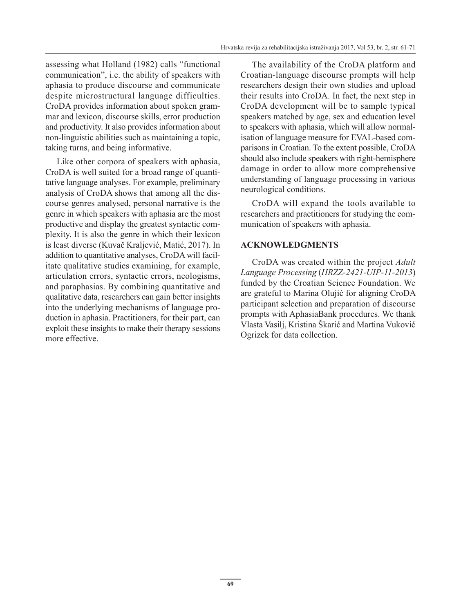assessing what Holland (1982) calls "functional communication", i.e. the ability of speakers with aphasia to produce discourse and communicate despite microstructural language difficulties. CroDA provides information about spoken grammar and lexicon, discourse skills, error production and productivity. It also provides information about non-linguistic abilities such as maintaining a topic, taking turns, and being informative.

Like other corpora of speakers with aphasia, CroDA is well suited for a broad range of quantitative language analyses. For example, preliminary analysis of CroDA shows that among all the discourse genres analysed, personal narrative is the genre in which speakers with aphasia are the most productive and display the greatest syntactic complexity. It is also the genre in which their lexicon is least diverse (Kuvač Kraljević, Matić, 2017). In addition to quantitative analyses, CroDA will facilitate qualitative studies examining, for example, articulation errors, syntactic errors, neologisms, and paraphasias. By combining quantitative and qualitative data, researchers can gain better insights into the underlying mechanisms of language production in aphasia. Practitioners, for their part, can exploit these insights to make their therapy sessions more effective.

The availability of the CroDA platform and Croatian-language discourse prompts will help researchers design their own studies and upload their results into CroDA. In fact, the next step in CroDA development will be to sample typical speakers matched by age, sex and education level to speakers with aphasia, which will allow normalisation of language measure for EVAL-based comparisons in Croatian. To the extent possible, CroDA should also include speakers with right-hemisphere damage in order to allow more comprehensive understanding of language processing in various neurological conditions.

CroDA will expand the tools available to researchers and practitioners for studying the communication of speakers with aphasia.

# **ACKNOWLEDGMENTS**

CroDA was created within the project *Adult Language Processing* (*HRZZ-2421-UIP-11-2013*) funded by the Croatian Science Foundation. We are grateful to Marina Olujić for aligning CroDA participant selection and preparation of discourse prompts with AphasiaBank procedures. We thank Vlasta Vasilj, Kristina Škarić and Martina Vuković Ogrizek for data collection.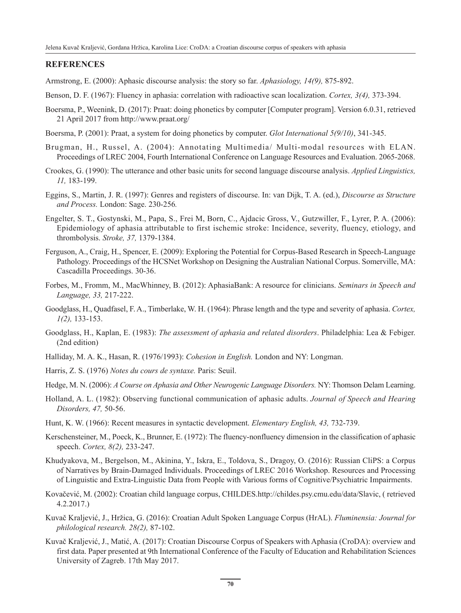#### **REFERENCES**

Armstrong, E. (2000): Aphasic discourse analysis: the story so far. *Aphasiology, 14(9),* 875-892.

- Benson, D. F. (1967): Fluency in aphasia: correlation with radioactive scan localization. *Cortex, 3(4),* 373-394.
- Boersma, P., Weenink, D. (2017): Praat: doing phonetics by computer [Computer program]. Version 6.0.31, retrieved 21 April 2017 from http://www.praat.org/
- Boersma, P. (2001): Praat, a system for doing phonetics by computer. *Glot International 5(9/10)*, 341-345.
- Brugman, H., Russel, A. (2004): Annotating Multimedia/ Multi-modal resources with ELAN. Proceedings of LREC 2004, Fourth International Conference on Language Resources and Evaluation. 2065-2068.
- Crookes, G. (1990): The utterance and other basic units for second language discourse analysis. *Applied Linguistics, 11,* 183-199.
- Eggins, S., Martin, J. R. (1997): Genres and registers of discourse. In: van Dijk, T. A. (ed.), *Discourse as Structure and Process.* London: Sage. 230-256*.*
- Engelter, S. T., Gostynski, M., Papa, S., Frei M, Born, C., Ajdacic Gross, V., Gutzwiller, F., Lyrer, P. A. (2006): Epidemiology of aphasia attributable to first ischemic stroke: Incidence, severity, fluency, etiology, and thrombolysis. *Stroke, 37,* 1379-1384.
- Ferguson, A., Craig, H., Spencer, E. (2009): Exploring the Potential for Corpus-Based Research in Speech-Language Pathology. Proceedings of the HCSNet Workshop on Designing the Australian National Corpus. Somerville, MA: Cascadilla Proceedings. 30-36.
- Forbes, M., Fromm, M., MacWhinney, B. (2012): AphasiaBank: A resource for clinicians. *Seminars in Speech and Language, 33,* 217-222.
- Goodglass, H., Quadfasel, F. A., Timberlake, W. H. (1964): Phrase length and the type and severity of aphasia. *Cortex, 1(2),* 133-153.
- Goodglass, H., Kaplan, E. (1983): *The assessment of aphasia and related disorders*. Philadelphia: Lea & Febiger. (2nd edition)
- Halliday, M. A. K., Hasan, R. (1976/1993): *Cohesion in English.* London and NY: Longman.
- Harris, Z. S. (1976) *Notes du cours de syntaxe.* Paris: Seuil.
- Hedge, M. N. (2006): *A Course on Aphasia and Other Neurogenic Language Disorders.* NY: Thomson Delam Learning.
- Holland, A. L. (1982): Observing functional communication of aphasic adults. *Journal of Speech and Hearing Disorders, 47,* 50-56.
- Hunt, K. W. (1966): Recent measures in syntactic development. *Elementary English, 43,* 732-739.
- Kerschensteiner, M., Poeck, K., Brunner, E. (1972): The fluency-nonfluency dimension in the classification of aphasic speech. *Cortex, 8(2),* 233-247.
- Khudyakova, M., Bergelson, M., Akinina, Y., Iskra, E., Toldova, S., Dragoy, O. (2016): Russian CliPS: a Corpus of Narratives by Brain-Damaged Individuals. Proceedings of LREC 2016 Workshop. Resources and Processing of Linguistic and Extra-Linguistic Data from People with Various forms of Cognitive/Psychiatric Impairments.
- Kovačević, M. (2002): Croatian child language corpus, CHILDES.http://childes.psy.cmu.edu/data/Slavic, ( retrieved 4.2.2017.)
- Kuvač Kraljević, J., Hržica, G. (2016): Croatian Adult Spoken Language Corpus (HrAL). *Fluminensia: Journal for philological research. 28(2),* 87-102.
- Kuvač Kraljević, J., Matić, A. (2017): Croatian Discourse Corpus of Speakers with Aphasia (CroDA): overview and first data. Paper presented at 9th International Conference of the Faculty of Education and Rehabilitation Sciences University of Zagreb. 17th May 2017.